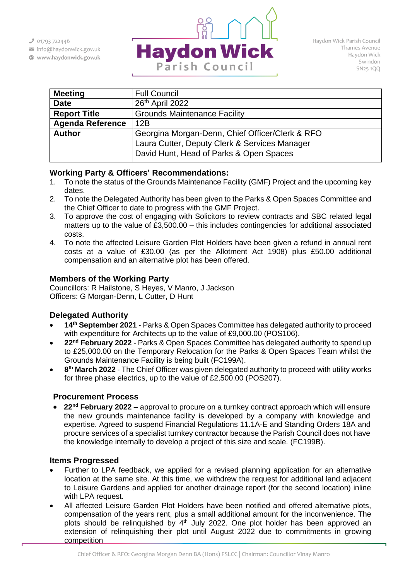$301793722446$ 

- info@haydonwick.gov.uk
- Www.haydonwick.gov.uk



| <b>Meeting</b>          | <b>Full Council</b>                             |
|-------------------------|-------------------------------------------------|
| <b>Date</b>             | 26 <sup>th</sup> April 2022                     |
| <b>Report Title</b>     | <b>Grounds Maintenance Facility</b>             |
| <b>Agenda Reference</b> | 12B                                             |
| <b>Author</b>           | Georgina Morgan-Denn, Chief Officer/Clerk & RFO |
|                         | Laura Cutter, Deputy Clerk & Services Manager   |
|                         | David Hunt, Head of Parks & Open Spaces         |

## **Working Party & Officers' Recommendations:**

- 1. To note the status of the Grounds Maintenance Facility (GMF) Project and the upcoming key dates.
- 2. To note the Delegated Authority has been given to the Parks & Open Spaces Committee and the Chief Officer to date to progress with the GMF Project.
- 3. To approve the cost of engaging with Solicitors to review contracts and SBC related legal matters up to the value of £3,500.00 – this includes contingencies for additional associated costs.
- 4. To note the affected Leisure Garden Plot Holders have been given a refund in annual rent costs at a value of £30.00 (as per the Allotment Act 1908) plus £50.00 additional compensation and an alternative plot has been offered.

## **Members of the Working Party**

Councillors: R Hailstone, S Heyes, V Manro, J Jackson Officers: G Morgan-Denn, L Cutter, D Hunt

# **Delegated Authority**

- **14th September 2021** Parks & Open Spaces Committee has delegated authority to proceed with expenditure for Architects up to the value of £9,000.00 (POS106).
- **22nd February 2022** Parks & Open Spaces Committee has delegated authority to spend up to £25,000.00 on the Temporary Relocation for the Parks & Open Spaces Team whilst the Grounds Maintenance Facility is being built (FC199A).
- **8 th March 2022** The Chief Officer was given delegated authority to proceed with utility works for three phase electrics, up to the value of £2,500.00 (POS207).

## **Procurement Process**

• **22nd February 2022 –** approval to procure on a turnkey contract approach which will ensure the new grounds maintenance facility is developed by a company with knowledge and expertise. Agreed to suspend Financial Regulations 11.1A-E and Standing Orders 18A and procure services of a specialist turnkey contractor because the Parish Council does not have the knowledge internally to develop a project of this size and scale. (FC199B).

## **Items Progressed**

- Further to LPA feedback, we applied for a revised planning application for an alternative location at the same site. At this time, we withdrew the request for additional land adjacent to Leisure Gardens and applied for another drainage report (for the second location) inline with LPA request.
- All affected Leisure Garden Plot Holders have been notified and offered alternative plots, compensation of the years rent, plus a small additional amount for the inconvenience. The plots should be relinquished by  $4<sup>th</sup>$  July 2022. One plot holder has been approved an extension of relinquishing their plot until August 2022 due to commitments in growing competition